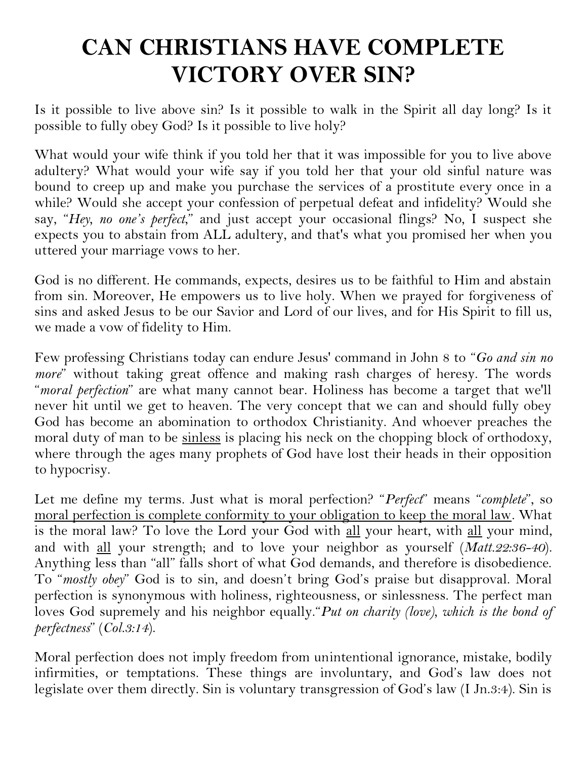# **CAN CHRISTIANS HAVE COMPLETE VICTORY OVER SIN?**

Is it possible to live above sin? Is it possible to walk in the Spirit all day long? Is it possible to fully obey God? Is it possible to live holy?

What would your wife think if you told her that it was impossible for you to live above adultery? What would your wife say if you told her that your old sinful nature was bound to creep up and make you purchase the services of a prostitute every once in a while? Would she accept your confession of perpetual defeat and infidelity? Would she say, "*Hey, no one's perfect*," and just accept your occasional flings? No, I suspect she expects you to abstain from ALL adultery, and that's what you promised her when you uttered your marriage vows to her.

God is no different. He commands, expects, desires us to be faithful to Him and abstain from sin. Moreover, He empowers us to live holy. When we prayed for forgiveness of sins and asked Jesus to be our Savior and Lord of our lives, and for His Spirit to fill us, we made a vow of fidelity to Him.

Few professing Christians today can endure Jesus' command in John 8 to "*Go and sin no more*" without taking great offence and making rash charges of heresy. The words "*moral perfection*" are what many cannot bear. Holiness has become a target that we'll never hit until we get to heaven. The very concept that we can and should fully obey God has become an abomination to orthodox Christianity. And whoever preaches the moral duty of man to be sinless is placing his neck on the chopping block of orthodoxy, where through the ages many prophets of God have lost their heads in their opposition to hypocrisy.

Let me define my terms. Just what is moral perfection? "*Perfect*" means "*complete*", so moral perfection is complete conformity to your obligation to keep the moral law. What is the moral law? To love the Lord your God with all your heart, with all your mind, and with all your strength; and to love your neighbor as yourself (*Matt.22:36-40*). Anything less than "all" falls short of what God demands, and therefore is disobedience. To "*mostly obey*" God is to sin, and doesn't bring God's praise but disapproval. Moral perfection is synonymous with holiness, righteousness, or sinlessness. The perfect man loves God supremely and his neighbor equally."*Put on charity (love), which is the bond of perfectness*" (*Col.3:14*).

Moral perfection does not imply freedom from unintentional ignorance, mistake, bodily infirmities, or temptations. These things are involuntary, and God's law does not legislate over them directly. Sin is voluntary transgression of God's law (I Jn.3:4). Sin is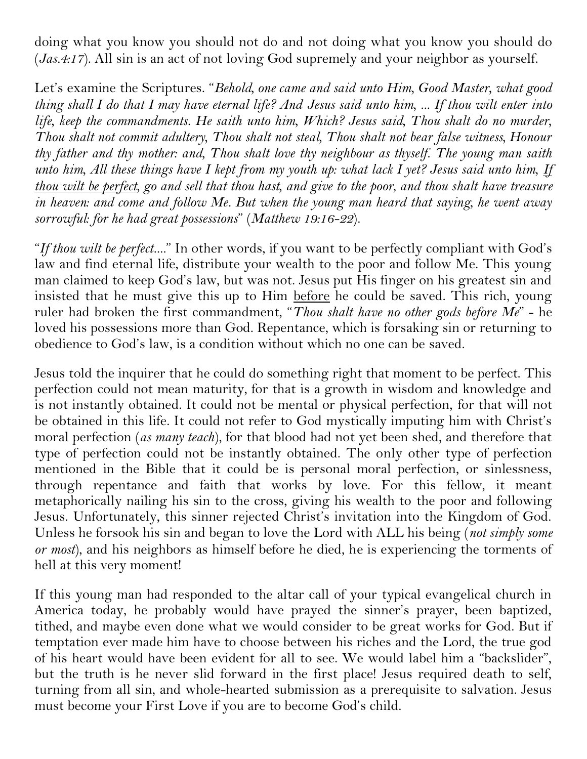doing what you know you should not do and not doing what you know you should do (*Jas.4:17*). All sin is an act of not loving God supremely and your neighbor as yourself.

Let's examine the Scriptures. "*Behold, one came and said unto Him, Good Master, what good thing shall I do that I may have eternal life? And Jesus said unto him, ... If thou wilt enter into life, keep the commandments. He saith unto him, Which? Jesus said, Thou shalt do no murder, Thou shalt not commit adultery, Thou shalt not steal, Thou shalt not bear false witness, Honour thy father and thy mother: and, Thou shalt love thy neighbour as thyself. The young man saith unto him, All these things have I kept from my youth up: what lack I yet? Jesus said unto him, If thou wilt be perfect, go and sell that thou hast, and give to the poor, and thou shalt have treasure in heaven: and come and follow Me. But when the young man heard that saying, he went away sorrowful: for he had great possessions*" (*Matthew 19:16-22*).

"*If thou wilt be perfect....*" In other words, if you want to be perfectly compliant with God's law and find eternal life, distribute your wealth to the poor and follow Me. This young man claimed to keep God's law, but was not. Jesus put His finger on his greatest sin and insisted that he must give this up to Him before he could be saved. This rich, young ruler had broken the first commandment, "*Thou shalt have no other gods before Me*" - he loved his possessions more than God. Repentance, which is forsaking sin or returning to obedience to God's law, is a condition without which no one can be saved.

Jesus told the inquirer that he could do something right that moment to be perfect. This perfection could not mean maturity, for that is a growth in wisdom and knowledge and is not instantly obtained. It could not be mental or physical perfection, for that will not be obtained in this life. It could not refer to God mystically imputing him with Christ's moral perfection (*as many teach*), for that blood had not yet been shed, and therefore that type of perfection could not be instantly obtained. The only other type of perfection mentioned in the Bible that it could be is personal moral perfection, or sinlessness, through repentance and faith that works by love. For this fellow, it meant metaphorically nailing his sin to the cross, giving his wealth to the poor and following Jesus. Unfortunately, this sinner rejected Christ's invitation into the Kingdom of God. Unless he forsook his sin and began to love the Lord with ALL his being (*not simply some or most*), and his neighbors as himself before he died, he is experiencing the torments of hell at this very moment!

If this young man had responded to the altar call of your typical evangelical church in America today, he probably would have prayed the sinner's prayer, been baptized, tithed, and maybe even done what we would consider to be great works for God. But if temptation ever made him have to choose between his riches and the Lord, the true god of his heart would have been evident for all to see. We would label him a "backslider", but the truth is he never slid forward in the first place! Jesus required death to self, turning from all sin, and whole-hearted submission as a prerequisite to salvation. Jesus must become your First Love if you are to become God's child.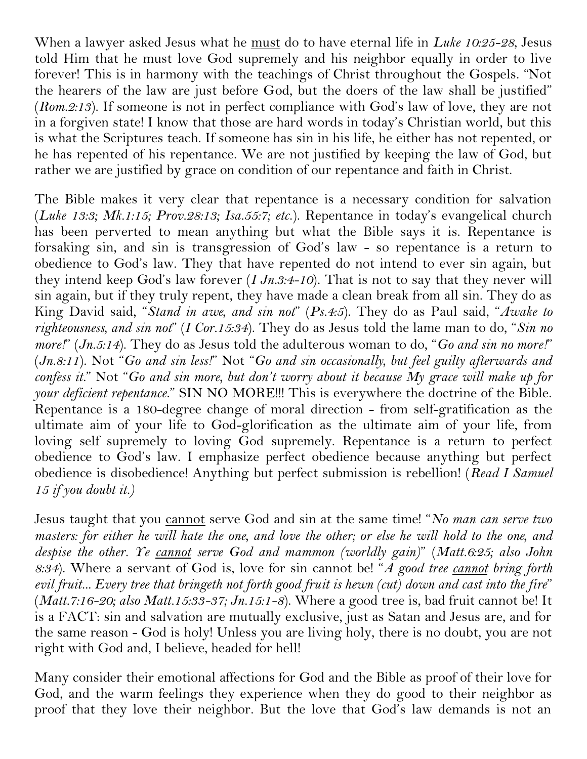When a lawyer asked Jesus what he must do to have eternal life in *Luke 10:25-28*, Jesus told Him that he must love God supremely and his neighbor equally in order to live forever! This is in harmony with the teachings of Christ throughout the Gospels. "Not the hearers of the law are just before God, but the doers of the law shall be justified" (*Rom.2:13*). If someone is not in perfect compliance with God's law of love, they are not in a forgiven state! I know that those are hard words in today's Christian world, but this is what the Scriptures teach. If someone has sin in his life, he either has not repented, or he has repented of his repentance. We are not justified by keeping the law of God, but rather we are justified by grace on condition of our repentance and faith in Christ.

The Bible makes it very clear that repentance is a necessary condition for salvation (*Luke 13:3; Mk.1:15; Prov.28:13; Isa.55:7; etc*.). Repentance in today's evangelical church has been perverted to mean anything but what the Bible says it is. Repentance is forsaking sin, and sin is transgression of God's law - so repentance is a return to obedience to God's law. They that have repented do not intend to ever sin again, but they intend keep God's law forever (*I Jn.3:4-10*). That is not to say that they never will sin again, but if they truly repent, they have made a clean break from all sin. They do as King David said, "*Stand in awe, and sin not*" (*Ps.4:5*). They do as Paul said, "*Awake to righteousness, and sin not*" (*I Cor.15:34*). They do as Jesus told the lame man to do, "*Sin no more!*" (*Jn.5:14*). They do as Jesus told the adulterous woman to do, "*Go and sin no more!*" (*Jn.8:11*). Not "*Go and sin less!*" Not "*Go and sin occasionally, but feel guilty afterwards and confess it.*" Not "*Go and sin more, but don't worry about it because My grace will make up for your deficient repentance*." SIN NO MORE!!! This is everywhere the doctrine of the Bible. Repentance is a 180-degree change of moral direction - from self-gratification as the ultimate aim of your life to God-glorification as the ultimate aim of your life, from loving self supremely to loving God supremely. Repentance is a return to perfect obedience to God's law. I emphasize perfect obedience because anything but perfect obedience is disobedience! Anything but perfect submission is rebellion! (*Read I Samuel 15 if you doubt it.)*

Jesus taught that you cannot serve God and sin at the same time! "*No man can serve two masters: for either he will hate the one, and love the other; or else he will hold to the one, and despise the other. Ye cannot serve God and mammon (worldly gain)*" (*Matt.6:25; also John 8:34*). Where a servant of God is, love for sin cannot be! "*A good tree cannot bring forth evil fruit... Every tree that bringeth not forth good fruit is hewn (cut) down and cast into the fire*" (*Matt.7:16-20; also Matt.15:33-37; Jn.15:1-8*). Where a good tree is, bad fruit cannot be! It is a FACT: sin and salvation are mutually exclusive, just as Satan and Jesus are, and for the same reason - God is holy! Unless you are living holy, there is no doubt, you are not right with God and, I believe, headed for hell!

Many consider their emotional affections for God and the Bible as proof of their love for God, and the warm feelings they experience when they do good to their neighbor as proof that they love their neighbor. But the love that God's law demands is not an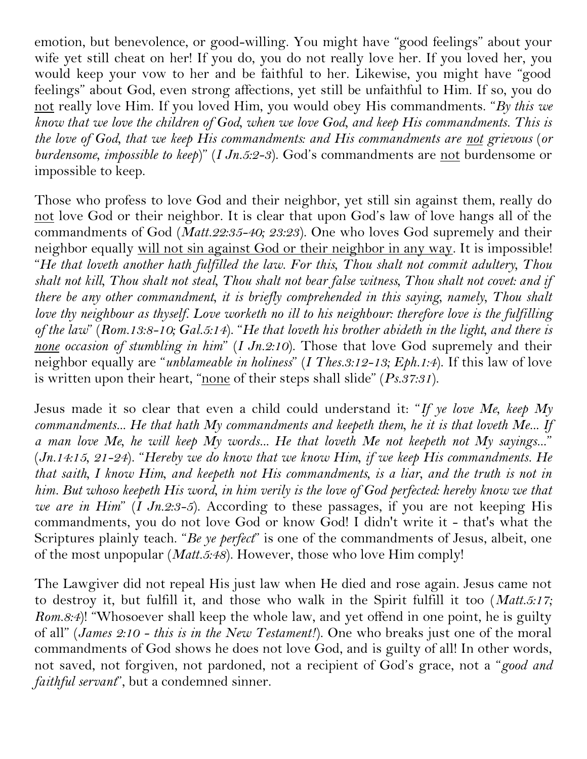emotion, but benevolence, or good-willing. You might have "good feelings" about your wife yet still cheat on her! If you do, you do not really love her. If you loved her, you would keep your vow to her and be faithful to her. Likewise, you might have "good feelings" about God, even strong affections, yet still be unfaithful to Him. If so, you do not really love Him. If you loved Him, you would obey His commandments. "*By this we know that we love the children of God, when we love God, and keep His commandments. This is the love of God, that we keep His commandments: and His commandments are not grievous* (*or burdensome, impossible to keep*)" (*I Jn.5:2-3*). God's commandments are not burdensome or impossible to keep.

Those who profess to love God and their neighbor, yet still sin against them, really do not love God or their neighbor. It is clear that upon God's law of love hangs all of the commandments of God (*Matt.22:35-40; 23:23*). One who loves God supremely and their neighbor equally will not sin against God or their neighbor in any way. It is impossible! "*He that loveth another hath fulfilled the law. For this, Thou shalt not commit adultery, Thou shalt not kill, Thou shalt not steal, Thou shalt not bear false witness, Thou shalt not covet: and if there be any other commandment, it is briefly comprehended in this saying, namely, Thou shalt love thy neighbour as thyself. Love worketh no ill to his neighbour: therefore love is the fulfilling of the law*" (*Rom.13:8-10; Gal.5:14*). "*He that loveth his brother abideth in the light, and there is none occasion of stumbling in him*" (*I Jn.2:10*). Those that love God supremely and their neighbor equally are "*unblameable in holiness*" (*I Thes.3:12-13; Eph.1:4*). If this law of love is written upon their heart, "none of their steps shall slide" (*Ps.37:31*).

Jesus made it so clear that even a child could understand it: "*If ye love Me, keep My commandments... He that hath My commandments and keepeth them, he it is that loveth Me... If a man love Me, he will keep My words... He that loveth Me not keepeth not My sayings...*" (*Jn.14:15, 21-24*). "*Hereby we do know that we know Him, if we keep His commandments. He that saith, I know Him, and keepeth not His commandments, is a liar, and the truth is not in him. But whoso keepeth His word, in him verily is the love of God perfected: hereby know we that we are in Him*" (*I Jn.2:3-5*). According to these passages, if you are not keeping His commandments, you do not love God or know God! I didn't write it - that's what the Scriptures plainly teach. "*Be ye perfect*" is one of the commandments of Jesus, albeit, one of the most unpopular (*Matt.5:48*). However, those who love Him comply!

The Lawgiver did not repeal His just law when He died and rose again. Jesus came not to destroy it, but fulfill it, and those who walk in the Spirit fulfill it too (*Matt.5:17; Rom.8:4*)! "Whosoever shall keep the whole law, and yet offend in one point, he is guilty of all" (*James 2:10 - this is in the New Testament!*). One who breaks just one of the moral commandments of God shows he does not love God, and is guilty of all! In other words, not saved, not forgiven, not pardoned, not a recipient of God's grace, not a "*good and faithful servant*", but a condemned sinner.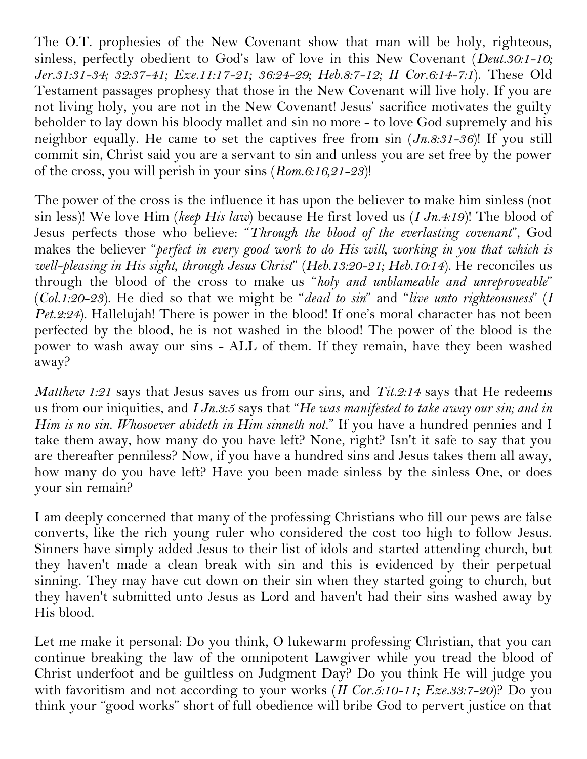The O.T. prophesies of the New Covenant show that man will be holy, righteous, sinless, perfectly obedient to God's law of love in this New Covenant (*Deut.30:1-10; Jer.31:31-34; 32:37-41; Eze.11:17-21; 36:24-29; Heb.8:7-12; II Cor.6:14-7:1*). These Old Testament passages prophesy that those in the New Covenant will live holy. If you are not living holy, you are not in the New Covenant! Jesus' sacrifice motivates the guilty beholder to lay down his bloody mallet and sin no more - to love God supremely and his neighbor equally. He came to set the captives free from sin (*Jn.8:31-36*)! If you still commit sin, Christ said you are a servant to sin and unless you are set free by the power of the cross, you will perish in your sins (*Rom.6:16,21-23*)!

The power of the cross is the influence it has upon the believer to make him sinless (not sin less)! We love Him (*keep His law*) because He first loved us (*I Jn.4:19*)! The blood of Jesus perfects those who believe: "*Through the blood of the everlasting covenant*", God makes the believer "*perfect in every good work to do His will, working in you that which is well-pleasing in His sight, through Jesus Christ*" (*Heb.13:20-21; Heb.10:14*). He reconciles us through the blood of the cross to make us "*holy and unblameable and unreproveable*" (*Col.1:20-23*). He died so that we might be "*dead to sin*" and "*live unto righteousness*" (*I Pet.2:24*). Hallelujah! There is power in the blood! If one's moral character has not been perfected by the blood, he is not washed in the blood! The power of the blood is the power to wash away our sins - ALL of them. If they remain, have they been washed away?

*Matthew 1:21* says that Jesus saves us from our sins, and *Tit.2:14* says that He redeems us from our iniquities, and *I Jn.3:5* says that "*He was manifested to take away our sin; and in Him is no sin. Whosoever abideth in Him sinneth not.*" If you have a hundred pennies and I take them away, how many do you have left? None, right? Isn't it safe to say that you are thereafter penniless? Now, if you have a hundred sins and Jesus takes them all away, how many do you have left? Have you been made sinless by the sinless One, or does your sin remain?

I am deeply concerned that many of the professing Christians who fill our pews are false converts, like the rich young ruler who considered the cost too high to follow Jesus. Sinners have simply added Jesus to their list of idols and started attending church, but they haven't made a clean break with sin and this is evidenced by their perpetual sinning. They may have cut down on their sin when they started going to church, but they haven't submitted unto Jesus as Lord and haven't had their sins washed away by His blood.

Let me make it personal: Do you think, O lukewarm professing Christian, that you can continue breaking the law of the omnipotent Lawgiver while you tread the blood of Christ underfoot and be guiltless on Judgment Day? Do you think He will judge you with favoritism and not according to your works (*II Cor.5:10-11; Eze.33:7-20*)? Do you think your "good works" short of full obedience will bribe God to pervert justice on that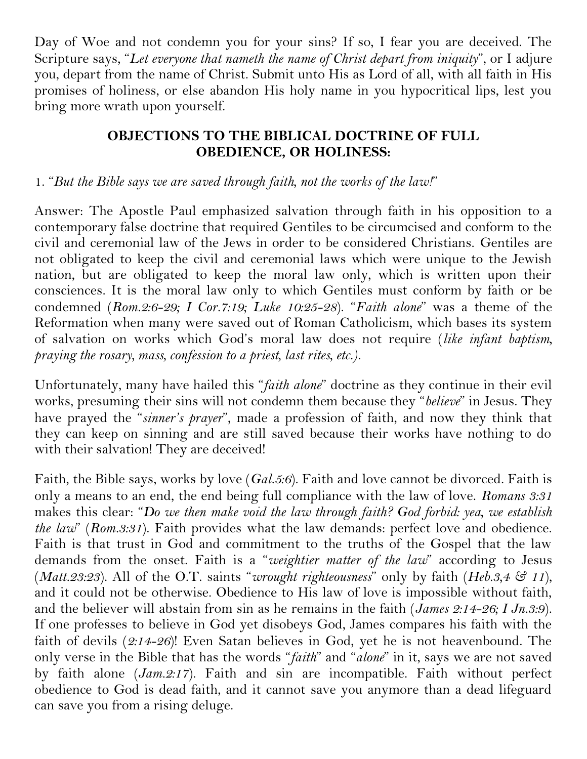Day of Woe and not condemn you for your sins? If so, I fear you are deceived. The Scripture says, "*Let everyone that nameth the name of Christ depart from iniquity*", or I adjure you, depart from the name of Christ. Submit unto His as Lord of all, with all faith in His promises of holiness, or else abandon His holy name in you hypocritical lips, lest you bring more wrath upon yourself.

# **OBJECTIONS TO THE BIBLICAL DOCTRINE OF FULL OBEDIENCE, OR HOLINESS:**

### 1. "*But the Bible says we are saved through faith, not the works of the law!*"

Answer: The Apostle Paul emphasized salvation through faith in his opposition to a contemporary false doctrine that required Gentiles to be circumcised and conform to the civil and ceremonial law of the Jews in order to be considered Christians. Gentiles are not obligated to keep the civil and ceremonial laws which were unique to the Jewish nation, but are obligated to keep the moral law only, which is written upon their consciences. It is the moral law only to which Gentiles must conform by faith or be condemned (*Rom.2:6-29; I Cor.7:19; Luke 10:25-28*). "*Faith alone*" was a theme of the Reformation when many were saved out of Roman Catholicism, which bases its system of salvation on works which God's moral law does not require (*like infant baptism, praying the rosary, mass, confession to a priest, last rites, etc.)*.

Unfortunately, many have hailed this "*faith alone*" doctrine as they continue in their evil works, presuming their sins will not condemn them because they "*believe*" in Jesus. They have prayed the "*sinner's prayer*", made a profession of faith, and now they think that they can keep on sinning and are still saved because their works have nothing to do with their salvation! They are deceived!

Faith, the Bible says, works by love (*Gal.5:6*). Faith and love cannot be divorced. Faith is only a means to an end, the end being full compliance with the law of love. *Romans 3:31* makes this clear: "*Do we then make void the law through faith? God forbid: yea, we establish the law*" (*Rom.3:31*). Faith provides what the law demands: perfect love and obedience. Faith is that trust in God and commitment to the truths of the Gospel that the law demands from the onset. Faith is a "*weightier matter of the law*" according to Jesus (*Matt.23:23*). All of the O.T. saints "*wrought righteousness*" only by faith (*Heb.3,4 & 11*), and it could not be otherwise. Obedience to His law of love is impossible without faith, and the believer will abstain from sin as he remains in the faith (*James 2:14-26; I Jn.3:9*). If one professes to believe in God yet disobeys God, James compares his faith with the faith of devils (*2:14-26*)! Even Satan believes in God, yet he is not heavenbound. The only verse in the Bible that has the words "*faith*" and "*alone*" in it, says we are not saved by faith alone (*Jam.2:17*). Faith and sin are incompatible. Faith without perfect obedience to God is dead faith, and it cannot save you anymore than a dead lifeguard can save you from a rising deluge.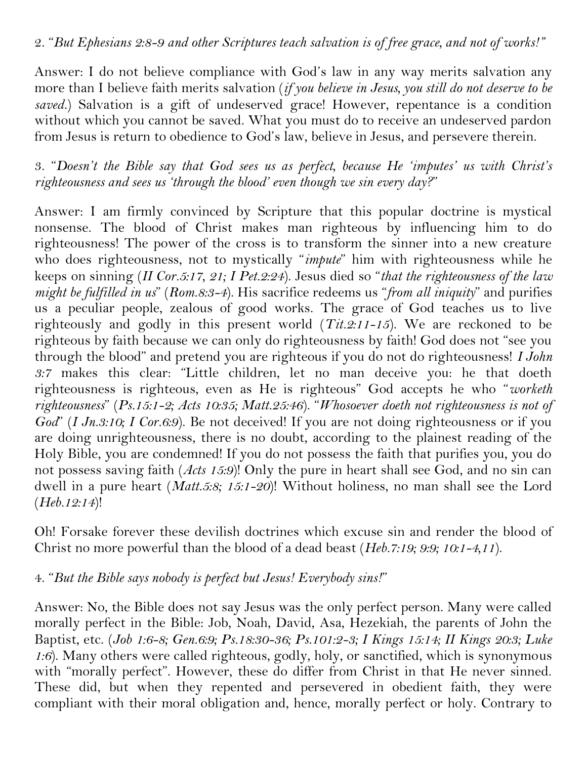Answer: I do not believe compliance with God's law in any way merits salvation any more than I believe faith merits salvation (*if you believe in Jesus, you still do not deserve to be saved.*) Salvation is a gift of undeserved grace! However, repentance is a condition without which you cannot be saved. What you must do to receive an undeserved pardon from Jesus is return to obedience to God's law, believe in Jesus, and persevere therein.

3. "*Doesn't the Bible say that God sees us as perfect, because He 'imputes' us with Christ's righteousness and sees us 'through the blood' even though we sin every day?*"

Answer: I am firmly convinced by Scripture that this popular doctrine is mystical nonsense. The blood of Christ makes man righteous by influencing him to do righteousness! The power of the cross is to transform the sinner into a new creature who does righteousness, not to mystically "*impute*" him with righteousness while he keeps on sinning (*II Cor.5:17, 21; I Pet.2:24*). Jesus died so "*that the righteousness of the law might be fulfilled in us*" (*Rom.8:3-4*). His sacrifice redeems us "*from all iniquity*" and purifies us a peculiar people, zealous of good works. The grace of God teaches us to live righteously and godly in this present world (*Tit.2:11-15*). We are reckoned to be righteous by faith because we can only do righteousness by faith! God does not "see you through the blood" and pretend you are righteous if you do not do righteousness! *I John 3:7* makes this clear: "Little children, let no man deceive you: he that doeth righteousness is righteous, even as He is righteous" God accepts he who "*worketh righteousness*" (*Ps.15:1-2; Acts 10:35; Matt.25:46*). "*Whosoever doeth not righteousness is not of God*" (*I Jn.3:10; I Cor.6:9*). Be not deceived! If you are not doing righteousness or if you are doing unrighteousness, there is no doubt, according to the plainest reading of the Holy Bible, you are condemned! If you do not possess the faith that purifies you, you do not possess saving faith (*Acts 15:9*)! Only the pure in heart shall see God, and no sin can dwell in a pure heart (*Matt.5:8; 15:1-20*)! Without holiness, no man shall see the Lord (*Heb.12:14*)!

Oh! Forsake forever these devilish doctrines which excuse sin and render the blood of Christ no more powerful than the blood of a dead beast (*Heb.7:19; 9:9; 10:1-4,11*).

4. "*But the Bible says nobody is perfect but Jesus! Everybody sins!*"

Answer: No, the Bible does not say Jesus was the only perfect person. Many were called morally perfect in the Bible: Job, Noah, David, Asa, Hezekiah, the parents of John the Baptist, etc. (*Job 1:6-8; Gen.6:9; Ps.18:30-36; Ps.101:2-3; I Kings 15:14; II Kings 20:3; Luke 1:6*). Many others were called righteous, godly, holy, or sanctified, which is synonymous with "morally perfect". However, these do differ from Christ in that He never sinned. These did, but when they repented and persevered in obedient faith, they were compliant with their moral obligation and, hence, morally perfect or holy. Contrary to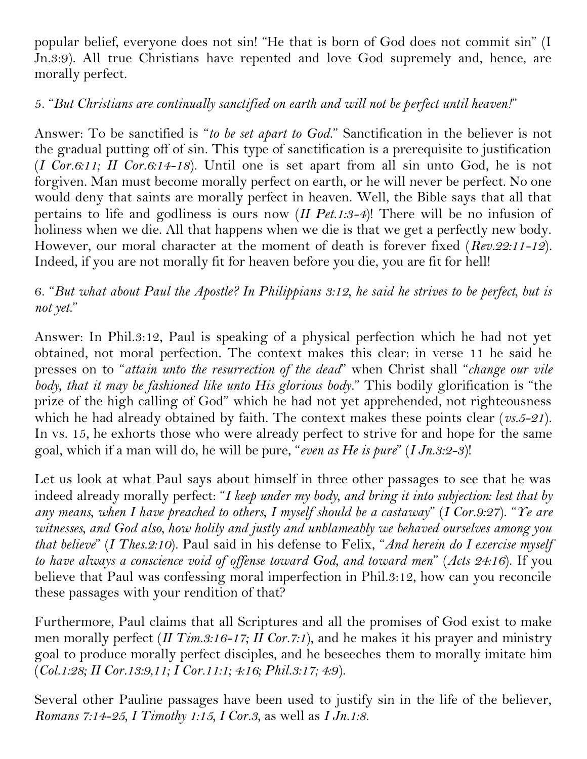popular belief, everyone does not sin! "He that is born of God does not commit sin" (I Jn.3:9). All true Christians have repented and love God supremely and, hence, are morally perfect.

# 5. "*But Christians are continually sanctified on earth and will not be perfect until heaven!*"

Answer: To be sanctified is "*to be set apart to God*." Sanctification in the believer is not the gradual putting off of sin. This type of sanctification is a prerequisite to justification (*I Cor.6:11; II Cor.6:14-18*). Until one is set apart from all sin unto God, he is not forgiven. Man must become morally perfect on earth, or he will never be perfect. No one would deny that saints are morally perfect in heaven. Well, the Bible says that all that pertains to life and godliness is ours now (*II Pet.1:3-4*)! There will be no infusion of holiness when we die. All that happens when we die is that we get a perfectly new body. However, our moral character at the moment of death is forever fixed (*Rev.22:11-12*). Indeed, if you are not morally fit for heaven before you die, you are fit for hell!

# 6. "*But what about Paul the Apostle? In Philippians 3:12, he said he strives to be perfect, but is not yet*."

Answer: In Phil.3:12, Paul is speaking of a physical perfection which he had not yet obtained, not moral perfection. The context makes this clear: in verse 11 he said he presses on to "*attain unto the resurrection of the dead*" when Christ shall "*change our vile body, that it may be fashioned like unto His glorious body*." This bodily glorification is "the prize of the high calling of God" which he had not yet apprehended, not righteousness which he had already obtained by faith. The context makes these points clear (*vs.5-21*). In vs. 15, he exhorts those who were already perfect to strive for and hope for the same goal, which if a man will do, he will be pure, "*even as He is pure*" (*I Jn.3:2-3*)!

Let us look at what Paul says about himself in three other passages to see that he was indeed already morally perfect: "*I keep under my body, and bring it into subjection: lest that by any means, when I have preached to others, I myself should be a castaway*" (*I Cor.9:27*). "*Ye are witnesses, and God also, how holily and justly and unblameably we behaved ourselves among you that believe*" (*I Thes.2:10*). Paul said in his defense to Felix, "*And herein do I exercise myself to have always a conscience void of offense toward God, and toward men*" (*Acts 24:16*). If you believe that Paul was confessing moral imperfection in Phil.3:12, how can you reconcile these passages with your rendition of that?

Furthermore, Paul claims that all Scriptures and all the promises of God exist to make men morally perfect (*II Tim.3:16-17; II Cor.7:1*), and he makes it his prayer and ministry goal to produce morally perfect disciples, and he beseeches them to morally imitate him (*Col.1:28; II Cor.13:9,11; I Cor.11:1; 4:16; Phil.3:17; 4:9*).

Several other Pauline passages have been used to justify sin in the life of the believer, *Romans 7:14-25, I Timothy 1:15, I Cor.3,* as well as *I Jn.1:8*.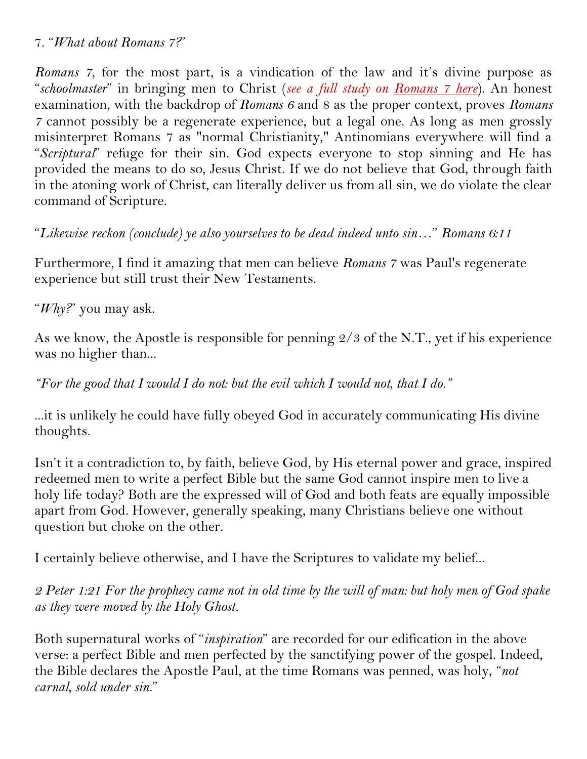#### 7. "*What about Romans 7?*"

*Romans 7*, for the most part, is a vindication of the law and it's divine purpose as "*schoolmaster*" in bringing men to Christ (*see a full study on [Romans 7 here](https://www.consumingfirefellowship.org/_files/ugd/99ecd9_fcab286827074fa991879ec6adaca6a2.pdf)*). An honest examination, with the backdrop of *Romans 6* and 8 as the proper context, proves *Romans 7* cannot possibly be a regenerate experience, but a legal one. As long as men grossly misinterpret Romans 7 as "normal Christianity," Antinomians everywhere will find a "*Scriptural*" refuge for their sin. God expects everyone to stop sinning and He has provided the means to do so, Jesus Christ. If we do not believe that God, through faith in the atoning work of Christ, can literally deliver us from all sin, we do violate the clear command of Scripture.

"*Likewise reckon (conclude) ye also yourselves to be dead indeed unto sin*…" *Romans 6:11*

Furthermore, I find it amazing that men can believe *Romans 7* was Paul's regenerate experience but still trust their New Testaments.

"*Why?*" you may ask.

As we know, the Apostle is responsible for penning  $\frac{2}{3}$  of the N.T., yet if his experience was no higher than...

*"For the good that I would I do not: but the evil which I would not, that I do."*

...it is unlikely he could have fully obeyed God in accurately communicating His divine thoughts.

Isn't it a contradiction to, by faith, believe God, by His eternal power and grace, inspired redeemed men to write a perfect Bible but the same God cannot inspire men to live a holy life today? Both are the expressed will of God and both feats are equally impossible apart from God. However, generally speaking, many Christians believe one without question but choke on the other.

I certainly believe otherwise, and I have the Scriptures to validate my belief...

*2 Peter 1:21 For the prophecy came not in old time by the will of man: but holy men of God spake as they were moved by the Holy Ghost.* 

Both supernatural works of "*inspiration*" are recorded for our edification in the above verse: a perfect Bible and men perfected by the sanctifying power of the gospel. Indeed, the Bible declares the Apostle Paul, at the time Romans was penned, was holy, "*not carnal, sold under sin.*"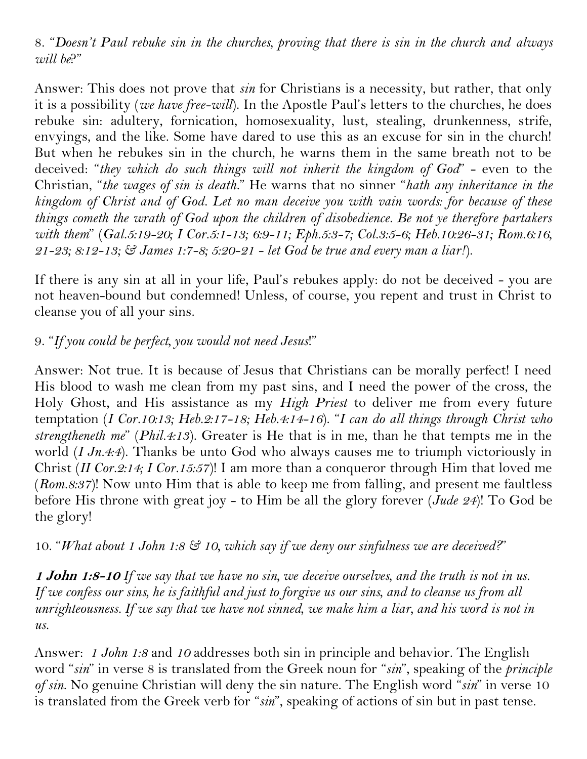8. "*Doesn't Paul rebuke sin in the churches, proving that there is sin in the church and always will be*?"

Answer: This does not prove that *sin* for Christians is a necessity, but rather, that only it is a possibility (*we have free-will*). In the Apostle Paul's letters to the churches, he does rebuke sin: adultery, fornication, homosexuality, lust, stealing, drunkenness, strife, envyings, and the like. Some have dared to use this as an excuse for sin in the church! But when he rebukes sin in the church, he warns them in the same breath not to be deceived: "*they which do such things will not inherit the kingdom of God*" - even to the Christian, "*the wages of sin is death.*" He warns that no sinner "*hath any inheritance in the kingdom of Christ and of God. Let no man deceive you with vain words: for because of these things cometh the wrath of God upon the children of disobedience. Be not ye therefore partakers with them*" (*Gal.5:19-20; I Cor.5:1-13; 6:9-11; Eph.5:3-7; Col.3:5-6; Heb.10:26-31; Rom.6:16, 21-23; 8:12-13; & James 1:7-8; 5:20-21 - let God be true and every man a liar!*).

If there is any sin at all in your life, Paul's rebukes apply: do not be deceived - you are not heaven-bound but condemned! Unless, of course, you repent and trust in Christ to cleanse you of all your sins.

## 9. "*If you could be perfect, you would not need Jesus*!"

Answer: Not true. It is because of Jesus that Christians can be morally perfect! I need His blood to wash me clean from my past sins, and I need the power of the cross, the Holy Ghost, and His assistance as my *High Priest* to deliver me from every future temptation (*I Cor.10:13; Heb.2:17-18; Heb.4:14-16*). "*I can do all things through Christ who strengtheneth me*" (*Phil.4:13*). Greater is He that is in me, than he that tempts me in the world (*I Jn.4:4*). Thanks be unto God who always causes me to triumph victoriously in Christ (*II Cor.2:14; I Cor.15:57*)! I am more than a conqueror through Him that loved me (*Rom.8:37*)! Now unto Him that is able to keep me from falling, and present me faultless before His throne with great joy - to Him be all the glory forever (*Jude 24*)! To God be the glory!

10. "*What about 1 John 1:8 & 10, which say if we deny our sinfulness we are deceived?*"

**1 John 1:8-10** *If we say that we have no sin, we deceive ourselves, and the truth is not in us. If we confess our sins, he is faithful and just to forgive us our sins, and to cleanse us from all unrighteousness. If we say that we have not sinned, we make him a liar, and his word is not in us.* 

Answer: *1 John 1:8* and *10* addresses both sin in principle and behavior. The English word "*sin*" in verse 8 is translated from the Greek noun for "*sin*", speaking of the *principle of sin*. No genuine Christian will deny the sin nature. The English word "*sin*" in verse 10 is translated from the Greek verb for "*sin*", speaking of actions of sin but in past tense.